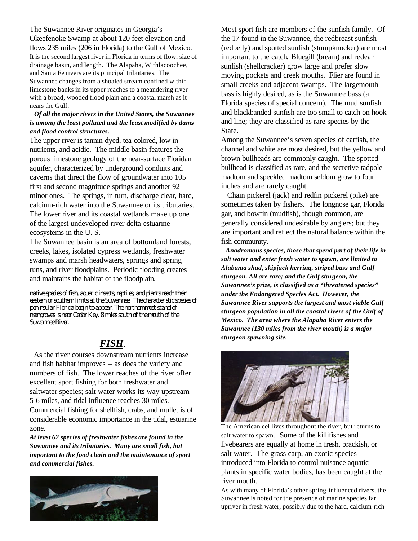The Suwannee River originates in Georgia's Okeefenoke Swamp at about 120 feet elevation and flows 235 miles (206 in Florida) to the Gulf of Mexico. It is the second largest river in Florida in terms of flow, size of drainage basin, and length. The Alapaha, Withlacoochee, and Santa Fe rivers are its principal tributaries. The Suwannee changes from a shoaled stream confined within limestone banks in its upper reaches to a meandering river with a broad, wooded flood plain and a coastal marsh as it nears the Gulf.

## *Of all the major rivers in the United States, the Suwannee is among the least polluted and the least modified by dams and flood control structures.*

The upper river is tannin-dyed, tea-colored, low in nutrients, and acidic. The middle basin features the porous limestone geology of the near-surface Floridan aquifer, characterized by underground conduits and caverns that direct the flow of groundwater into 105 first and second magnitude springs and another 92 minor ones. The springs, in turn, discharge clear, hard, calcium-rich water into the Suwannee or its tributaries. The lower river and its coastal wetlands make up one of the largest undeveloped river delta-estuarine ecosystems in the U. S.

The Suwannee basin is an area of bottomland forests, creeks, lakes, isolated cypress wetlands, freshwater swamps and marsh headwaters, springs and spring runs, and river floodplains. Periodic flooding creates and maintains the habitat of the floodplain.

*native species of fish, aquatic insects, reptiles, and plants reach their eastern or southern limits at the Suwannee. The characteristic species of peninsular Florida begin to appear. The northernmost stand of mangroves is near Cedar Key, 8 miles south of the mouth of the Suwannee River.*

## *FISH*.

 As the river courses downstream nutrients increase and fish habitat improves -- as does the variety and numbers of fish. The lower reaches of the river offer excellent sport fishing for both freshwater and saltwater species; salt water works its way upstream 5-6 miles, and tidal influence reaches 30 miles. Commercial fishing for shellfish, crabs, and mullet is of considerable economic importance in the tidal, estuarine zone.

*At least 62 species of freshwater fishes are found in the Suwannee and its tributaries. Many are small fish, but important to the food chain and the maintenance of sport and commercial fishes.*



Most sport fish are members of the sunfish family. Of the 17 found in the Suwannee, the redbreast sunfish (redbelly) and spotted sunfish (stumpknocker) are most important to the catch*.* Bluegill (bream) and redear sunfish (shellcracker) grow large and prefer slow moving pockets and creek mouths. Flier are found in small creeks and adjacent swamps. The largemouth bass is highly desired, as is the Suwannee bass (a Florida species of special concern). The mud sunfish and blackbanded sunfish are too small to catch on hook and line; they are classified as rare species by the State.

Among the Suwannee's seven species of catfish, the channel and white are most desired, but the yellow and brown bullheads are commonly caught. The spotted bullhead is classified as rare, and the secretive tadpole madtom and speckled madtom seldom grow to four inches and are rarely caught.

 Chain pickerel (jack) and redfin pickerel (pike) are sometimes taken by fishers. The longnose gar, Florida gar, and bowfin (mudfish), though common, are generally considered undesirable by anglers; but they are important and reflect the natural balance within the fish community.

 *Anadromous species, those that spend part of their life in salt water and enter fresh water to spawn, are limited to Alabama shad, skipjack herring, striped bass and Gulf sturgeon. All are rare; and the Gulf sturgeon, the Suwannee's prize, is classified as a "threatened species" under the Endangered Species Act. However, the Suwannee River supports the largest and most viable Gulf sturgeon population in all the coastal rivers of the Gulf of Mexico. The area where the Alapaha River enters the Suwannee (130 miles from the river mouth) is a major sturgeon spawning site.*



The American eel lives throughout the river, but returns to salt water to spawn. Some of the killifishes and livebearers are equally at home in fresh, brackish, or salt water. The grass carp, an exotic species introduced into Florida to control nuisance aquatic plants in specific water bodies, has been caught at the river mouth.

As with many of Florida's other spring-influenced rivers, the Suwannee is noted for the presence of marine species far upriver in fresh water, possibly due to the hard, calcium-rich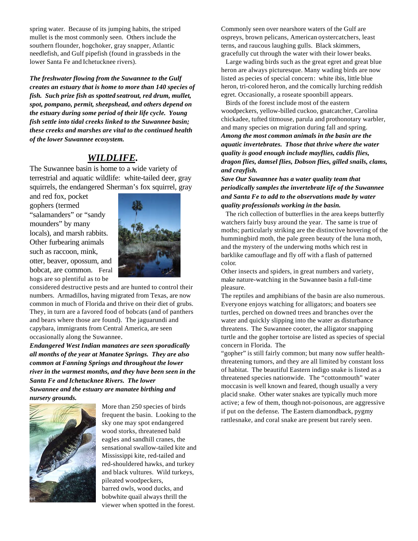spring water. Because of its jumping habits, the striped mullet is the most commonly seen. Others include the southern flounder, hogchoker, gray snapper, Atlantic needlefish, and Gulf pipefish (found in grassbeds in the lower Santa Fe and Ichetucknee rivers).

*The freshwater flowing from the Suwannee to the Gulf creates an estuary that is home to more than 140 species of fish. Such prize fish as spotted seatrout, red drum, mullet, spot, pompano, permit, sheepshead, and others depend on the estuary during some period of their life cycle. Young fish settle into tidal creeks linked to the Suwannee basin; these creeks and marshes are vital to the continued health of the lower Suwannee ecosystem.*

## *WILDLIFE.*

The Suwannee basin is home to a wide variety of terrestrial and aquatic wildlife: white-tailed deer, gray squirrels, the endangered Sherman's fox squirrel, gray

and red fox, pocket gophers (termed "salamanders" or "sandy mounders" by many locals), and marsh rabbits. Other furbearing animals such as raccoon, mink, otter, beaver, opossum, and bobcat, are common. Feral hogs are so plentiful as to be



considered destructive pests and are hunted to control their numbers. Armadillos, having migrated from Texas, are now common in much of Florida and thrive on their diet of grubs. They, in turn are a favored food of bobcats (and of panthers and bears where those are found). The jaguarundi and capybara, immigrants from Central America, are seen occasionally along the Suwannee.

*Endangered West Indian manatees are seen sporadically all months of the year at Manatee Springs. They are also common at Fanning Springs and throughout the lower river in the warmest months, and they have been seen in the Santa Fe and Ichetucknee Rivers. The lower Suwannee and the estuary are manatee birthing and nursery grounds.*



More than 250 species of birds frequent the basin. Looking to the sky one may spot endangered wood storks, threatened bald eagles and sandhill cranes, the sensational swallow-tailed kite and Mississippi kite, red-tailed and red-shouldered hawks, and turkey and black vultures. Wild turkeys, pileated woodpeckers, barred owls, wood ducks, and bobwhite quail always thrill the viewer when spotted in the forest.

Commonly seen over nearshore waters of the Gulf are ospreys, brown pelicans, American oystercatchers, least terns, and raucous laughing gulls. Black skimmers, gracefully cut through the water with their lower beaks.

 Large wading birds such as the great egret and great blue heron are always picturesque. Many wading birds are now listed as pecies of special concern: white ibis, little blue heron, tri-colored heron, and the comically lurching reddish egret. Occasionally, a roseate spoonbill appears.

 Birds of the forest include most of the eastern woodpeckers, yellow-billed cuckoo, gnatcatcher, Carolina chickadee, tufted titmouse, parula and prothonotary warbler, and many species on migration during fall and spring. *Among the most common animals in the basin are the aquatic invertebrates. Those that thrive where the water quality is good enough include mayflies, caddis flies, dragon flies, damsel flies, Dobson flies, gilled snails, clams, and crayfish.*

*Save Our Suwannee has a water quality team that periodically samples the invertebrate life of the Suwannee and Santa Fe to add to the observations made by water quality professionals working in the basin.*

 The rich collection of butterflies in the area keeps butterfly watchers fairly busy around the year. The same is true of moths; particularly striking are the distinctive hovering of the hummingbird moth, the pale green beauty of the luna moth, and the mystery of the underwing moths which rest in barklike camouflage and fly off with a flash of patterned color*.*

Other insects and spiders, in great numbers and variety, make nature-watching in the Suwannee basin a full-time pleasure.

The reptiles and amphibians of the basin are also numerous. Everyone enjoys watching for alligators; and boaters see turtles, perched on downed trees and branches over the water and quickly slipping into the water as disturbance threatens. The Suwannee cooter, the alligator snapping turtle and the gopher tortoise are listed as species of special concern in Florida. The

"gopher" is still fairly common; but many now suffer healththreatening tumors, and they are all limited by constant loss of habitat. The beautiful Eastern indigo snake is listed as a threatened species nationwide. The "cottonmouth" water moccasin is well known and feared, though usually a very placid snake. Other water snakes are typically much more active; a few of them, though not-poisonous, are aggressive if put on the defense. The Eastern diamondback, pygmy rattlesnake, and coral snake are present but rarely seen.